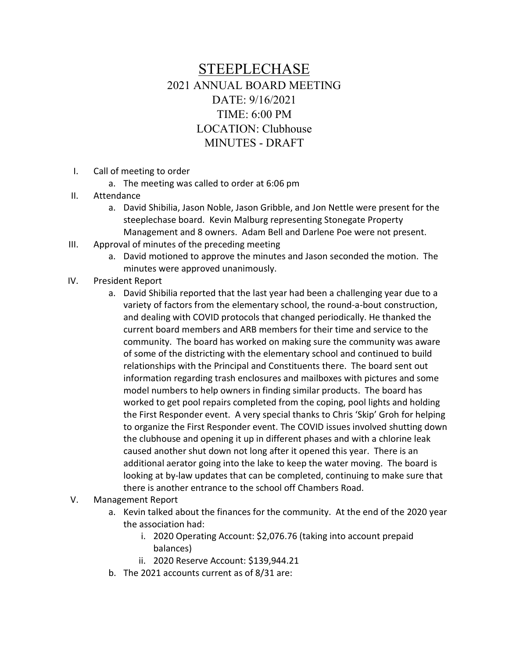## STEEPLECHASE 2021 ANNUAL BOARD MEETING DATE: 9/16/2021 TIME: 6:00 PM LOCATION: Clubhouse MINUTES - DRAFT

- I. Call of meeting to order
	- a. The meeting was called to order at 6:06 pm
- II. Attendance
	- a. David Shibilia, Jason Noble, Jason Gribble, and Jon Nettle were present for the steeplechase board. Kevin Malburg representing Stonegate Property Management and 8 owners. Adam Bell and Darlene Poe were not present.
- III. Approval of minutes of the preceding meeting
	- a. David motioned to approve the minutes and Jason seconded the motion. The minutes were approved unanimously.
- IV. President Report
	- a. David Shibilia reported that the last year had been a challenging year due to a variety of factors from the elementary school, the round-a-bout construction, and dealing with COVID protocols that changed periodically. He thanked the current board members and ARB members for their time and service to the community. The board has worked on making sure the community was aware of some of the districting with the elementary school and continued to build relationships with the Principal and Constituents there. The board sent out information regarding trash enclosures and mailboxes with pictures and some model numbers to help owners in finding similar products. The board has worked to get pool repairs completed from the coping, pool lights and holding the First Responder event. A very special thanks to Chris 'Skip' Groh for helping to organize the First Responder event. The COVID issues involved shutting down the clubhouse and opening it up in different phases and with a chlorine leak caused another shut down not long after it opened this year. There is an additional aerator going into the lake to keep the water moving. The board is looking at by-law updates that can be completed, continuing to make sure that there is another entrance to the school off Chambers Road.

## V. Management Report

- a. Kevin talked about the finances for the community. At the end of the 2020 year the association had:
	- i. 2020 Operating Account: \$2,076.76 (taking into account prepaid balances)
	- ii. 2020 Reserve Account: \$139,944.21
- b. The 2021 accounts current as of 8/31 are: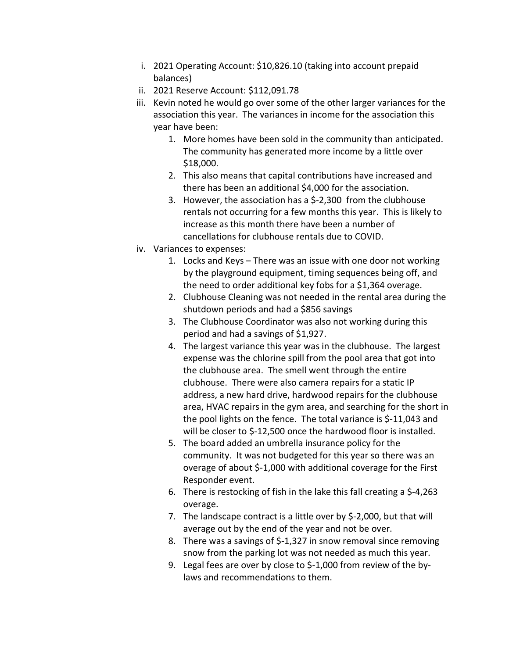- i. 2021 Operating Account: \$10,826.10 (taking into account prepaid balances)
- ii. 2021 Reserve Account: \$112,091.78
- iii. Kevin noted he would go over some of the other larger variances for the association this year. The variances in income for the association this year have been:
	- 1. More homes have been sold in the community than anticipated. The community has generated more income by a little over \$18,000.
	- 2. This also means that capital contributions have increased and there has been an additional \$4,000 for the association.
	- 3. However, the association has a \$-2,300 from the clubhouse rentals not occurring for a few months this year. This is likely to increase as this month there have been a number of cancellations for clubhouse rentals due to COVID.
- iv. Variances to expenses:
	- 1. Locks and Keys There was an issue with one door not working by the playground equipment, timing sequences being off, and the need to order additional key fobs for a \$1,364 overage.
	- 2. Clubhouse Cleaning was not needed in the rental area during the shutdown periods and had a \$856 savings
	- 3. The Clubhouse Coordinator was also not working during this period and had a savings of \$1,927.
	- 4. The largest variance this year was in the clubhouse. The largest expense was the chlorine spill from the pool area that got into the clubhouse area. The smell went through the entire clubhouse. There were also camera repairs for a static IP address, a new hard drive, hardwood repairs for the clubhouse area, HVAC repairs in the gym area, and searching for the short in the pool lights on the fence. The total variance is \$-11,043 and will be closer to \$-12,500 once the hardwood floor is installed.
	- 5. The board added an umbrella insurance policy for the community. It was not budgeted for this year so there was an overage of about \$-1,000 with additional coverage for the First Responder event.
	- 6. There is restocking of fish in the lake this fall creating a \$-4,263 overage.
	- 7. The landscape contract is a little over by \$-2,000, but that will average out by the end of the year and not be over.
	- 8. There was a savings of \$-1,327 in snow removal since removing snow from the parking lot was not needed as much this year.
	- 9. Legal fees are over by close to \$-1,000 from review of the bylaws and recommendations to them.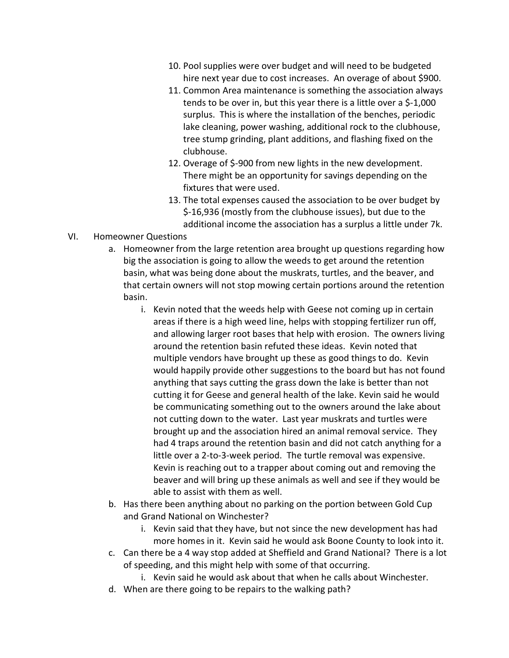- 10. Pool supplies were over budget and will need to be budgeted hire next year due to cost increases. An overage of about \$900.
- 11. Common Area maintenance is something the association always tends to be over in, but this year there is a little over a \$-1,000 surplus. This is where the installation of the benches, periodic lake cleaning, power washing, additional rock to the clubhouse, tree stump grinding, plant additions, and flashing fixed on the clubhouse.
- 12. Overage of \$-900 from new lights in the new development. There might be an opportunity for savings depending on the fixtures that were used.
- 13. The total expenses caused the association to be over budget by \$-16,936 (mostly from the clubhouse issues), but due to the additional income the association has a surplus a little under 7k.

## VI. Homeowner Questions

- a. Homeowner from the large retention area brought up questions regarding how big the association is going to allow the weeds to get around the retention basin, what was being done about the muskrats, turtles, and the beaver, and that certain owners will not stop mowing certain portions around the retention basin.
	- i. Kevin noted that the weeds help with Geese not coming up in certain areas if there is a high weed line, helps with stopping fertilizer run off, and allowing larger root bases that help with erosion. The owners living around the retention basin refuted these ideas. Kevin noted that multiple vendors have brought up these as good things to do. Kevin would happily provide other suggestions to the board but has not found anything that says cutting the grass down the lake is better than not cutting it for Geese and general health of the lake. Kevin said he would be communicating something out to the owners around the lake about not cutting down to the water. Last year muskrats and turtles were brought up and the association hired an animal removal service. They had 4 traps around the retention basin and did not catch anything for a little over a 2-to-3-week period. The turtle removal was expensive. Kevin is reaching out to a trapper about coming out and removing the beaver and will bring up these animals as well and see if they would be able to assist with them as well.
- b. Has there been anything about no parking on the portion between Gold Cup and Grand National on Winchester?
	- i. Kevin said that they have, but not since the new development has had more homes in it. Kevin said he would ask Boone County to look into it.
- c. Can there be a 4 way stop added at Sheffield and Grand National? There is a lot of speeding, and this might help with some of that occurring.
	- i. Kevin said he would ask about that when he calls about Winchester.
- d. When are there going to be repairs to the walking path?